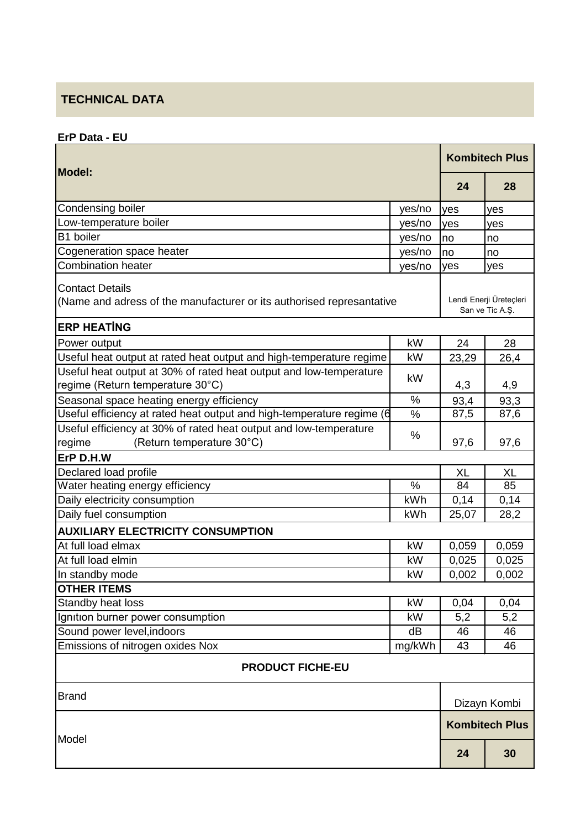## **TECHNICAL DATA**

**ErP Data - EU**

|                                                                                                          |                       | <b>Kombitech Plus</b>                      |              |  |  |
|----------------------------------------------------------------------------------------------------------|-----------------------|--------------------------------------------|--------------|--|--|
| <b>Model:</b>                                                                                            |                       | 24                                         | 28           |  |  |
| Condensing boiler                                                                                        | yes/no                | yes                                        | yes          |  |  |
| Low-temperature boiler                                                                                   | yes/no                | yes                                        | yes          |  |  |
| B1 boiler                                                                                                | yes/no                | no                                         | no           |  |  |
| Cogeneration space heater                                                                                | yes/no                | no                                         | no           |  |  |
| <b>Combination heater</b>                                                                                | yes/no                | yes                                        | yes          |  |  |
| <b>Contact Details</b><br>(Name and adress of the manufacturer or its authorised represantative          |                       | Lendi Enerji Üreteçleri<br>San ve Tic A.Ş. |              |  |  |
| <b>ERP HEATING</b>                                                                                       |                       |                                            |              |  |  |
| Power output                                                                                             | kW                    | 24                                         | 28           |  |  |
| Useful heat output at rated heat output and high-temperature regime                                      | kW                    | 23,29                                      | 26,4         |  |  |
| Useful heat output at 30% of rated heat output and low-temperature<br>regime (Return temperature 30°C)   | kW                    | 4,3                                        | 4,9          |  |  |
| Seasonal space heating energy efficiency                                                                 | %                     | 93,4                                       | 93,3         |  |  |
| Useful efficiency at rated heat output and high-temperature regime (6                                    | %                     | 87,5                                       | 87,6         |  |  |
| Useful efficiency at 30% of rated heat output and low-temperature<br>(Return temperature 30°C)<br>regime | %                     | 97,6                                       | 97,6         |  |  |
| ErP D.H.W                                                                                                |                       |                                            |              |  |  |
| Declared load profile                                                                                    |                       | <b>XL</b>                                  | <b>XL</b>    |  |  |
| Water heating energy efficiency                                                                          | $\frac{0}{0}$         | 84                                         | 85           |  |  |
| Daily electricity consumption                                                                            | kWh                   | 0,14                                       | 0,14         |  |  |
| Daily fuel consumption                                                                                   | kWh                   | 25,07                                      | 28,2         |  |  |
| <b>AUXILIARY ELECTRICITY CONSUMPTION</b>                                                                 |                       |                                            |              |  |  |
| At full load elmax                                                                                       | kW                    | 0,059                                      | 0,059        |  |  |
| At full load elmin                                                                                       | kW                    | 0,025                                      | 0,025        |  |  |
| In standby mode                                                                                          | kW                    | 0,002                                      | 0,002        |  |  |
| <b>OTHER ITEMS</b>                                                                                       |                       |                                            |              |  |  |
| Standby heat loss                                                                                        | kW                    | 0,04                                       | 0,04         |  |  |
| Ignition burner power consumption                                                                        | kW                    | 5,2                                        | 5,2          |  |  |
| Sound power level, indoors                                                                               | dB                    | 46                                         | 46           |  |  |
| Emissions of nitrogen oxides Nox                                                                         | mg/kWh                | 43                                         | 46           |  |  |
| <b>PRODUCT FICHE-EU</b>                                                                                  |                       |                                            |              |  |  |
| <b>Brand</b>                                                                                             |                       |                                            | Dizayn Kombi |  |  |
|                                                                                                          | <b>Kombitech Plus</b> |                                            |              |  |  |
| Model                                                                                                    |                       | 24                                         | 30           |  |  |